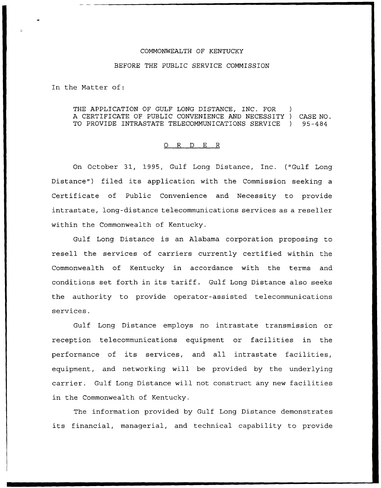## COMMONWEALTH OF KENTUCKY

## BEFORE THE PUBLIC SERVICE COMMISSION

In the Natter of:

THE APPLICATION OF GULF LONG DISTANCE, INC. FOR A CERTIFICATE OF PUBLIC CONVENIENCE AND NECESSITY ) CASE NO. TO PROVIDE INTRASTATE TELECOMMUNICATIONS SERVICE ) 95-484

## 0 R <sup>D</sup> E R

On October 31, 1995, Gulf Long Distance, Inc. ("Gulf Long Distance") filed its application with the Commission seeking a Certificate of Public Convenience and Necessity to provide intrastate, long-distance telecommunications services as a reseller within the Commonwealth of Kentucky.

Gulf Long Distance is an Alabama corporation proposing to resell the services of carriers currently certified within the Commonwealth of Kentucky in accordance with the terms and conditions set forth in its tariff. Gulf Long Distance also seeks the authority to provide operator-assisted telecommunications services.

Gulf Long Distance employs no intrastate transmission or reception telecommunications equipment or facilities in the performance of its services, and all intrastate facilities, equipment, and networking will be provided by the underlying carrier. Gulf Long Distance will not construct any new facilities in the Commonwealth of Kentucky.

The information provided by Gulf Long Distance demonstrates its financial, managerial, and technical capability to provide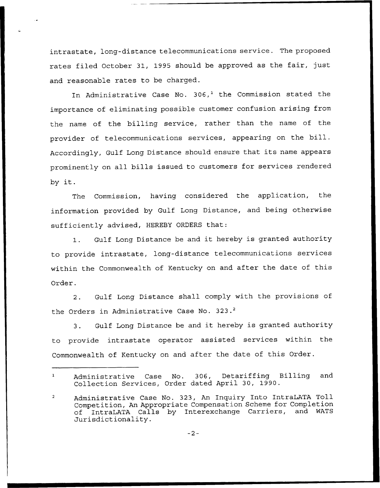intrastate, long-distance telecommunications service. The proposed rates filed October 31, 1995 should be approved as the fair, just and reasonable rates to be charged.

In Administrative Case No.  $306<sup>1</sup>$  the Commission stated the importance of eliminating possible customer confusion arising from the name of the billing service, rather than the name of the provider of telecommunications services, appearing on the bill. Accordingly, Gulf Long Distance should ensure that its name appears prominently on all bills issued to customers for services rendered by it.

The Commission, having considered the application, the information provided by Gulf Long Distance, and being otherwise sufficiently advised, HEREBY ORDERS that:

1. Gulf Long Distance be and it hereby is granted authority to provide intrastate, long-distance telecommunications services within the Commonwealth of Kentucky on and after the date of this Order.

2. Gulf Long Distance shall comply with the provisions of the Orders in Administrative Case No. 323.<sup>2</sup>

Gulf Long Distance be and it hereby is granted authority  $3.$ to provide intrastate operator assisted services within the Commonwealth of Kentucky on and after the date of this Order.

 $-2-$ 

Administrative Case No. 306, Detariffing Billing and  $\mathbf{1}$ Collection Services, Order dated April 30, 1990.

 $\overline{2}$ Administrative Case No. 323, An Enquiry Into IntraLATA Toll Competition, An Appropriate Compensation Scheme for Completion<br>of IntraLATA Calls by Interexchange Carriers, and WATS of IntraLATA Calls by Interexchange Carriers, Jurisdictionality.